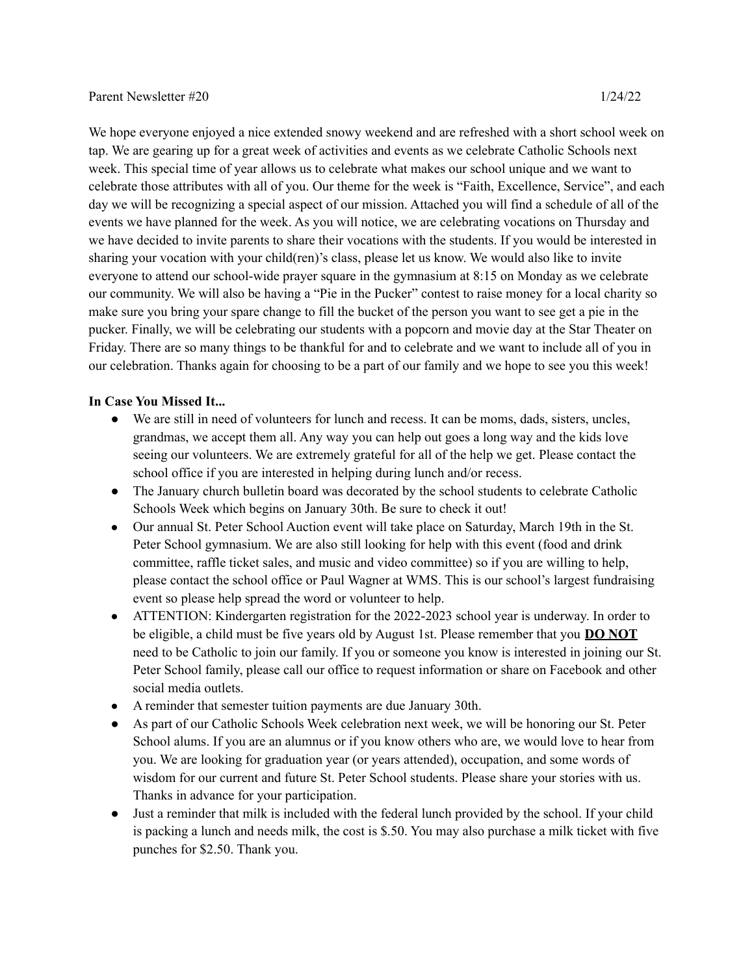## Parent Newsletter #20 1/24/22

We hope everyone enjoyed a nice extended snowy weekend and are refreshed with a short school week on tap. We are gearing up for a great week of activities and events as we celebrate Catholic Schools next week. This special time of year allows us to celebrate what makes our school unique and we want to celebrate those attributes with all of you. Our theme for the week is "Faith, Excellence, Service", and each day we will be recognizing a special aspect of our mission. Attached you will find a schedule of all of the events we have planned for the week. As you will notice, we are celebrating vocations on Thursday and we have decided to invite parents to share their vocations with the students. If you would be interested in sharing your vocation with your child(ren)'s class, please let us know. We would also like to invite everyone to attend our school-wide prayer square in the gymnasium at 8:15 on Monday as we celebrate our community. We will also be having a "Pie in the Pucker" contest to raise money for a local charity so make sure you bring your spare change to fill the bucket of the person you want to see get a pie in the pucker. Finally, we will be celebrating our students with a popcorn and movie day at the Star Theater on Friday. There are so many things to be thankful for and to celebrate and we want to include all of you in our celebration. Thanks again for choosing to be a part of our family and we hope to see you this week!

## **In Case You Missed It...**

- We are still in need of volunteers for lunch and recess. It can be moms, dads, sisters, uncles, grandmas, we accept them all. Any way you can help out goes a long way and the kids love seeing our volunteers. We are extremely grateful for all of the help we get. Please contact the school office if you are interested in helping during lunch and/or recess.
- The January church bulletin board was decorated by the school students to celebrate Catholic Schools Week which begins on January 30th. Be sure to check it out!
- Our annual St. Peter School Auction event will take place on Saturday, March 19th in the St. Peter School gymnasium. We are also still looking for help with this event (food and drink committee, raffle ticket sales, and music and video committee) so if you are willing to help, please contact the school office or Paul Wagner at WMS. This is our school's largest fundraising event so please help spread the word or volunteer to help.
- ATTENTION: Kindergarten registration for the 2022-2023 school year is underway. In order to be eligible, a child must be five years old by August 1st. Please remember that you **DO NOT** need to be Catholic to join our family. If you or someone you know is interested in joining our St. Peter School family, please call our office to request information or share on Facebook and other social media outlets.
- A reminder that semester tuition payments are due January 30th.
- As part of our Catholic Schools Week celebration next week, we will be honoring our St. Peter School alums. If you are an alumnus or if you know others who are, we would love to hear from you. We are looking for graduation year (or years attended), occupation, and some words of wisdom for our current and future St. Peter School students. Please share your stories with us. Thanks in advance for your participation.
- Just a reminder that milk is included with the federal lunch provided by the school. If your child is packing a lunch and needs milk, the cost is \$.50. You may also purchase a milk ticket with five punches for \$2.50. Thank you.